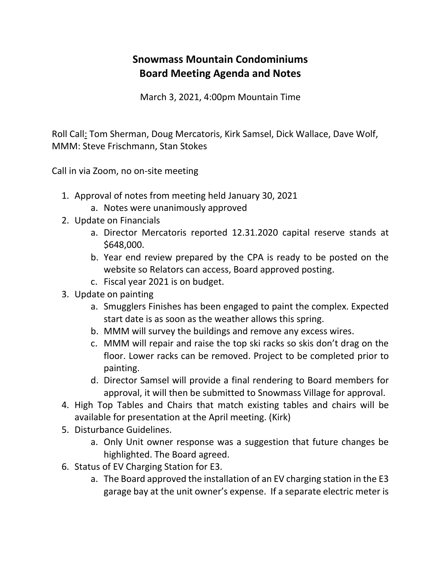## **Snowmass Mountain Condominiums Board Meeting Agenda and Notes**

March 3, 2021, 4:00pm Mountain Time

Roll Call: Tom Sherman, Doug Mercatoris, Kirk Samsel, Dick Wallace, Dave Wolf, MMM: Steve Frischmann, Stan Stokes

Call in via Zoom, no on-site meeting

- 1. Approval of notes from meeting held January 30, 2021
	- a. Notes were unanimously approved
- 2. Update on Financials
	- a. Director Mercatoris reported 12.31.2020 capital reserve stands at \$648,000.
	- b. Year end review prepared by the CPA is ready to be posted on the website so Relators can access, Board approved posting.
	- c. Fiscal year 2021 is on budget.
- 3. Update on painting
	- a. Smugglers Finishes has been engaged to paint the complex. Expected start date is as soon as the weather allows this spring.
	- b. MMM will survey the buildings and remove any excess wires.
	- c. MMM will repair and raise the top ski racks so skis don't drag on the floor. Lower racks can be removed. Project to be completed prior to painting.
	- d. Director Samsel will provide a final rendering to Board members for approval, it will then be submitted to Snowmass Village for approval.
- 4. High Top Tables and Chairs that match existing tables and chairs will be available for presentation at the April meeting. (Kirk)
- 5. Disturbance Guidelines.
	- a. Only Unit owner response was a suggestion that future changes be highlighted. The Board agreed.
- 6. Status of EV Charging Station for E3.
	- a. The Board approved the installation of an EV charging station in the E3 garage bay at the unit owner's expense. If a separate electric meter is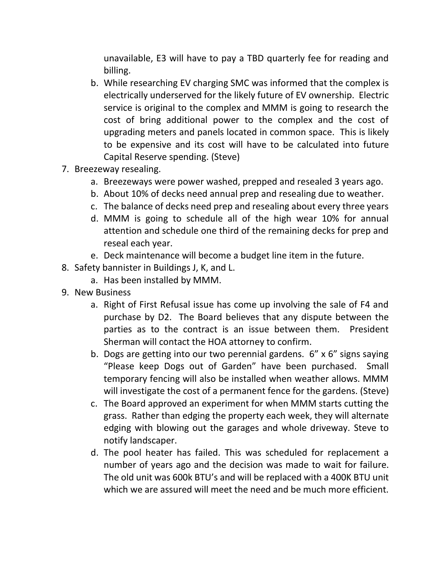unavailable, E3 will have to pay a TBD quarterly fee for reading and billing.

- b. While researching EV charging SMC was informed that the complex is electrically underserved for the likely future of EV ownership. Electric service is original to the complex and MMM is going to research the cost of bring additional power to the complex and the cost of upgrading meters and panels located in common space. This is likely to be expensive and its cost will have to be calculated into future Capital Reserve spending. (Steve)
- 7. Breezeway resealing.
	- a. Breezeways were power washed, prepped and resealed 3 years ago.
	- b. About 10% of decks need annual prep and resealing due to weather.
	- c. The balance of decks need prep and resealing about every three years
	- d. MMM is going to schedule all of the high wear 10% for annual attention and schedule one third of the remaining decks for prep and reseal each year.
	- e. Deck maintenance will become a budget line item in the future.
- 8. Safety bannister in Buildings J, K, and L.
	- a. Has been installed by MMM.
- 9. New Business
	- a. Right of First Refusal issue has come up involving the sale of F4 and purchase by D2. The Board believes that any dispute between the parties as to the contract is an issue between them. President Sherman will contact the HOA attorney to confirm.
	- b. Dogs are getting into our two perennial gardens. 6" x 6" signs saying "Please keep Dogs out of Garden" have been purchased. Small temporary fencing will also be installed when weather allows. MMM will investigate the cost of a permanent fence for the gardens. (Steve)
	- c. The Board approved an experiment for when MMM starts cutting the grass. Rather than edging the property each week, they will alternate edging with blowing out the garages and whole driveway. Steve to notify landscaper.
	- d. The pool heater has failed. This was scheduled for replacement a number of years ago and the decision was made to wait for failure. The old unit was 600k BTU's and will be replaced with a 400K BTU unit which we are assured will meet the need and be much more efficient.